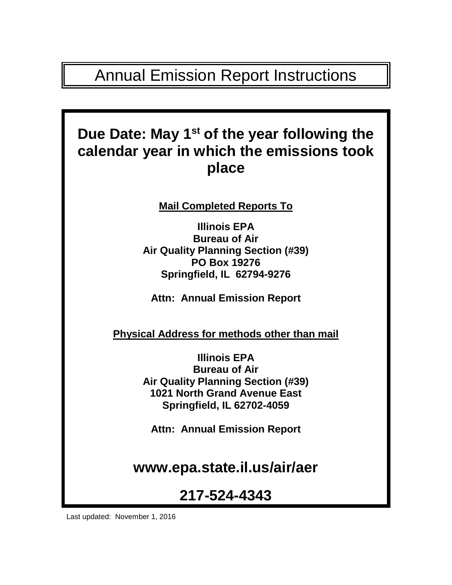# Annual Emission Report Instructions

# **Due Date: May 1st of the year following the calendar year in which the emissions took place**

**Mail Completed Reports To**

**Illinois EPA Bureau of Air Air Quality Planning Section (#39) PO Box 19276 Springfield, IL 62794-9276**

**Attn: Annual Emission Report**

**Physical Address for methods other than mail**

**Illinois EPA Bureau of Air Air Quality Planning Section (#39) 1021 North Grand Avenue East Springfield, IL 62702-4059**

**Attn: Annual Emission Report**

**www.epa.state.il.us/air/aer**

# **217-524-4343**

Last updated: November 1, 2016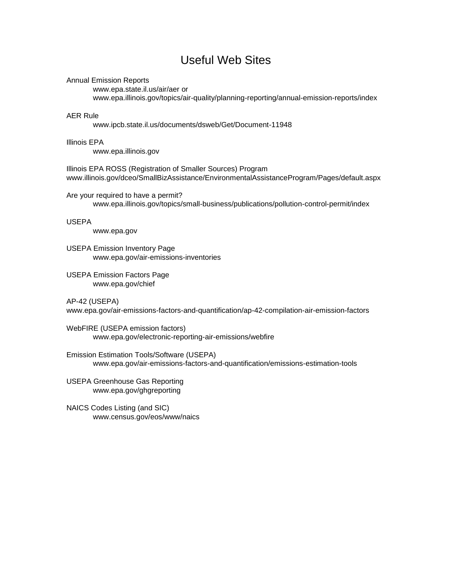### Useful Web Sites

#### Annual Emission Reports

[www.epa.state.il.us/air/aer](http://www.epa.state.il.us/air/aer) or www.epa.illinois.gov/topics/air-quality/planning-reporting/annual-emission-reports/index

#### AER Rule

www.ipcb.state.il.us/documents/dsweb/Get/Document-11948

#### Illinois EPA

[www.epa.illinois.gov](http://www.epa.illinois.gov/)

Illinois EPA ROSS (Registration of Smaller Sources) Program www.illinois.gov/dceo/SmallBizAssistance/EnvironmentalAssistanceProgram/Pages/default.aspx

Are your required to have a permit? www.epa.illinois.gov/topics/small-business/publications/pollution-control-permit/index

#### USEPA

www.epa.gov

- USEPA Emission Inventory Page www.epa.gov/air-emissions-inventories
- USEPA Emission Factors Page www.epa.gov/chief

AP-42 (USEPA)

www.epa.gov/air-emissions-factors-and-quantification/ap-42-compilation-air-emission-factors

WebFIRE (USEPA emission factors) www.epa.gov/electronic-reporting-air-emissions/webfire

Emission Estimation Tools/Software (USEPA) www.epa.gov/air-emissions-factors-and-quantification/emissions-estimation-tools

- USEPA Greenhouse Gas Reporting www.epa.gov/ghgreporting
- NAICS Codes Listing (and SIC) www.census.gov/eos/www/naics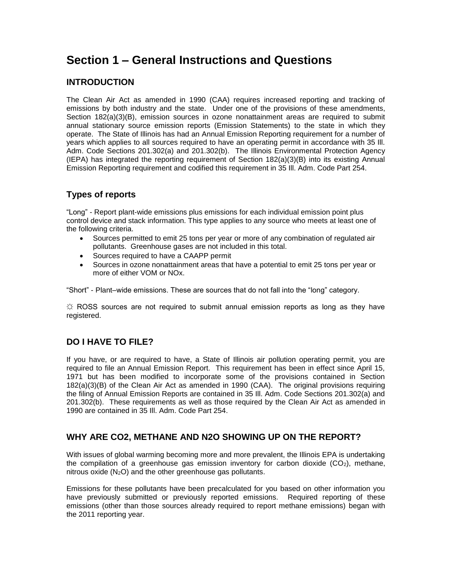### **Section 1 – General Instructions and Questions**

### **INTRODUCTION**

The Clean Air Act as amended in 1990 (CAA) requires increased reporting and tracking of emissions by both industry and the state. Under one of the provisions of these amendments, Section 182(a)(3)(B), emission sources in ozone nonattainment areas are required to submit annual stationary source emission reports (Emission Statements) to the state in which they operate. The State of Illinois has had an Annual Emission Reporting requirement for a number of years which applies to all sources required to have an operating permit in accordance with 35 Ill. Adm. Code Sections 201.302(a) and 201.302(b). The Illinois Environmental Protection Agency (IEPA) has integrated the reporting requirement of Section 182(a)(3)(B) into its existing Annual Emission Reporting requirement and codified this requirement in 35 Ill. Adm. Code Part 254.

### **Types of reports**

"Long" - Report plant-wide emissions plus emissions for each individual emission point plus control device and stack information. This type applies to any source who meets at least one of the following criteria.

- Sources permitted to emit 25 tons per year or more of any combination of regulated air pollutants. Greenhouse gases are not included in this total.
- Sources required to have a CAAPP permit
- Sources in ozone nonattainment areas that have a potential to emit 25 tons per year or more of either VOM or NOx.

"Short" - Plant–wide emissions. These are sources that do not fall into the "long" category.

 $\ddot{\varphi}$  ROSS sources are not required to submit annual emission reports as long as they have registered.

### **DO I HAVE TO FILE?**

If you have, or are required to have, a State of Illinois air pollution operating permit, you are required to file an Annual Emission Report. This requirement has been in effect since April 15, 1971 but has been modified to incorporate some of the provisions contained in Section 182(a)(3)(B) of the Clean Air Act as amended in 1990 (CAA). The original provisions requiring the filing of Annual Emission Reports are contained in 35 Ill. Adm. Code Sections 201.302(a) and 201.302(b). These requirements as well as those required by the Clean Air Act as amended in 1990 are contained in 35 Ill. Adm. Code Part 254.

#### **WHY ARE CO2, METHANE AND N2O SHOWING UP ON THE REPORT?**

With issues of global warming becoming more and more prevalent, the Illinois EPA is undertaking the compilation of a greenhouse gas emission inventory for carbon dioxide  $(CO<sub>2</sub>)$ , methane, nitrous oxide  $(N_2O)$  and the other greenhouse gas pollutants.

Emissions for these pollutants have been precalculated for you based on other information you have previously submitted or previously reported emissions. Required reporting of these emissions (other than those sources already required to report methane emissions) began with the 2011 reporting year.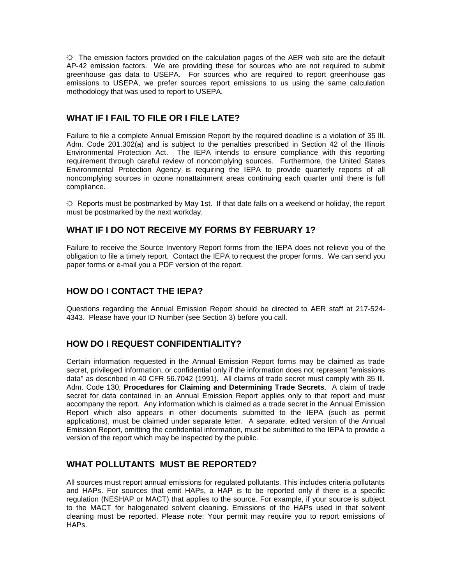$\ddot{\varphi}$  The emission factors provided on the calculation pages of the AER web site are the default AP-42 emission factors. We are providing these for sources who are not required to submit greenhouse gas data to USEPA. For sources who are required to report greenhouse gas emissions to USEPA, we prefer sources report emissions to us using the same calculation methodology that was used to report to USEPA.

#### **WHAT IF I FAIL TO FILE OR I FILE LATE?**

Failure to file a complete Annual Emission Report by the required deadline is a violation of 35 Ill. Adm. Code 201.302(a) and is subject to the penalties prescribed in Section 42 of the Illinois Environmental Protection Act. The IEPA intends to ensure compliance with this reporting requirement through careful review of noncomplying sources. Furthermore, the United States Environmental Protection Agency is requiring the IEPA to provide quarterly reports of all noncomplying sources in ozone nonattainment areas continuing each quarter until there is full compliance.

 $\Im$  Reports must be postmarked by May 1st. If that date falls on a weekend or holiday, the report must be postmarked by the next workday.

#### **WHAT IF I DO NOT RECEIVE MY FORMS BY FEBRUARY 1?**

Failure to receive the Source Inventory Report forms from the IEPA does not relieve you of the obligation to file a timely report. Contact the IEPA to request the proper forms. We can send you paper forms or e-mail you a PDF version of the report.

#### **HOW DO I CONTACT THE IEPA?**

Questions regarding the Annual Emission Report should be directed to AER staff at 217-524- 4343. Please have your ID Number (see Section 3) before you call.

#### **HOW DO I REQUEST CONFIDENTIALITY?**

Certain information requested in the Annual Emission Report forms may be claimed as trade secret, privileged information, or confidential only if the information does not represent "emissions data" as described in 40 CFR 56.7042 (1991). All claims of trade secret must comply with 35 Ill. Adm. Code 130, **Procedures for Claiming and Determining Trade Secrets**. A claim of trade secret for data contained in an Annual Emission Report applies only to that report and must accompany the report. Any information which is claimed as a trade secret in the Annual Emission Report which also appears in other documents submitted to the IEPA (such as permit applications), must be claimed under separate letter. A separate, edited version of the Annual Emission Report, omitting the confidential information, must be submitted to the IEPA to provide a version of the report which may be inspected by the public.

#### **WHAT POLLUTANTS MUST BE REPORTED?**

All sources must report annual emissions for regulated pollutants. This includes criteria pollutants and HAPs. For sources that emit HAPs, a HAP is to be reported only if there is a specific regulation (NESHAP or MACT) that applies to the source. For example, if your source is subject to the MACT for halogenated solvent cleaning. Emissions of the HAPs used in that solvent cleaning must be reported. Please note: Your permit may require you to report emissions of HAPs.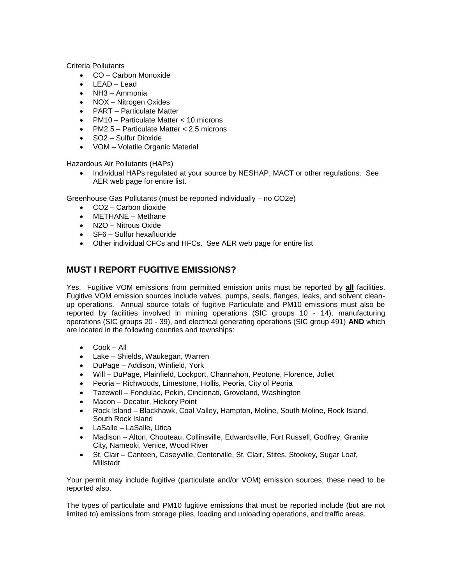Criteria Pollutants

- CO Carbon Monoxide
- LEAD Lead
- NH3 Ammonia
- NOX Nitrogen Oxides
- PART Particulate Matter
- PM10 Particulate Matter < 10 microns
- PM2.5 Particulate Matter < 2.5 microns
- SO2 Sulfur Dioxide
- VOM Volatile Organic Material

Hazardous Air Pollutants (HAPs)

• Individual HAPs regulated at your source by NESHAP, MACT or other regulations. See AER web page for entire list.

Greenhouse Gas Pollutants (must be reported individually – no CO2e)

- CO2 Carbon dioxide
- METHANE Methane
- N2O Nitrous Oxide
- SF6 Sulfur hexafluoride
- Other individual CFCs and HFCs. See AER web page for entire list

#### **MUST I REPORT FUGITIVE EMISSIONS?**

Yes. Fugitive VOM emissions from permitted emission units must be reported by **all** facilities. Fugitive VOM emission sources include valves, pumps, seals, flanges, leaks, and solvent cleanup operations. Annual source totals of fugitive Particulate and PM10 emissions must also be reported by facilities involved in mining operations (SIC groups 10 - 14), manufacturing operations (SIC groups 20 - 39), and electrical generating operations (SIC group 491) **AND** which are located in the following counties and townships:

- Cook All
- Lake Shields, Waukegan, Warren
- DuPage Addison, Winfield, York
- Will DuPage, Plainfield, Lockport, Channahon, Peotone, Florence, Joliet
- Peoria Richwoods, Limestone, Hollis, Peoria, City of Peoria
- Tazewell Fondulac, Pekin, Cincinnati, Groveland, Washington
- Macon Decatur, Hickory Point
- Rock Island Blackhawk, Coal Valley, Hampton, Moline, South Moline, Rock Island, South Rock Island
- LaSalle LaSalle, Utica
- Madison Alton, Chouteau, Collinsville, Edwardsville, Fort Russell, Godfrey, Granite City, Nameoki, Venice, Wood River
- St. Clair Canteen, Caseyville, Centerville, St. Clair, Stites, Stookey, Sugar Loaf, Millstadt

Your permit may include fugitive (particulate and/or VOM) emission sources, these need to be reported also.

The types of particulate and PM10 fugitive emissions that must be reported include (but are not limited to) emissions from storage piles, loading and unloading operations, and traffic areas.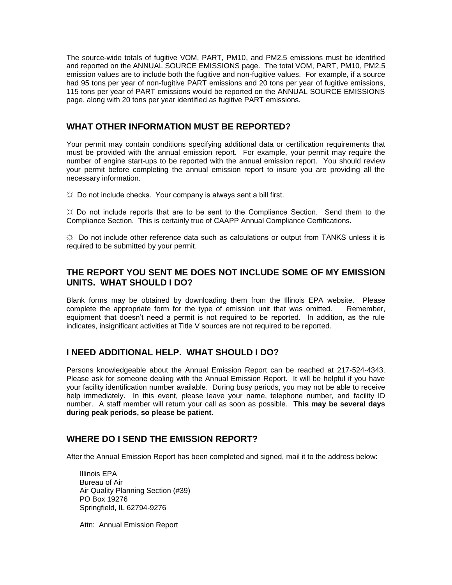The source-wide totals of fugitive VOM, PART, PM10, and PM2.5 emissions must be identified and reported on the ANNUAL SOURCE EMISSIONS page. The total VOM, PART, PM10, PM2.5 emission values are to include both the fugitive and non-fugitive values. For example, if a source had 95 tons per year of non-fugitive PART emissions and 20 tons per year of fugitive emissions, 115 tons per year of PART emissions would be reported on the ANNUAL SOURCE EMISSIONS page, along with 20 tons per year identified as fugitive PART emissions.

#### **WHAT OTHER INFORMATION MUST BE REPORTED?**

Your permit may contain conditions specifying additional data or certification requirements that must be provided with the annual emission report. For example, your permit may require the number of engine start-ups to be reported with the annual emission report. You should review your permit before completing the annual emission report to insure you are providing all the necessary information.

 $\uplus$  Do not include checks. Your company is always sent a bill first.

 $\ddot{\varphi}$  Do not include reports that are to be sent to the Compliance Section. Send them to the Compliance Section. This is certainly true of CAAPP Annual Compliance Certifications.

 $\uplus$  Do not include other reference data such as calculations or output from TANKS unless it is required to be submitted by your permit.

#### **THE REPORT YOU SENT ME DOES NOT INCLUDE SOME OF MY EMISSION UNITS. WHAT SHOULD I DO?**

Blank forms may be obtained by downloading them from the Illinois EPA website. Please complete the appropriate form for the type of emission unit that was omitted. Remember. complete the appropriate form for the type of emission unit that was omitted. equipment that doesn't need a permit is not required to be reported. In addition, as the rule indicates, insignificant activities at Title V sources are not required to be reported.

#### **I NEED ADDITIONAL HELP. WHAT SHOULD I DO?**

Persons knowledgeable about the Annual Emission Report can be reached at 217-524-4343. Please ask for someone dealing with the Annual Emission Report. It will be helpful if you have your facility identification number available. During busy periods, you may not be able to receive help immediately. In this event, please leave your name, telephone number, and facility ID number. A staff member will return your call as soon as possible. **This may be several days during peak periods, so please be patient.**

#### **WHERE DO I SEND THE EMISSION REPORT?**

After the Annual Emission Report has been completed and signed, mail it to the address below:

Illinois EPA Bureau of Air Air Quality Planning Section (#39) PO Box 19276 Springfield, IL 62794-9276

Attn: Annual Emission Report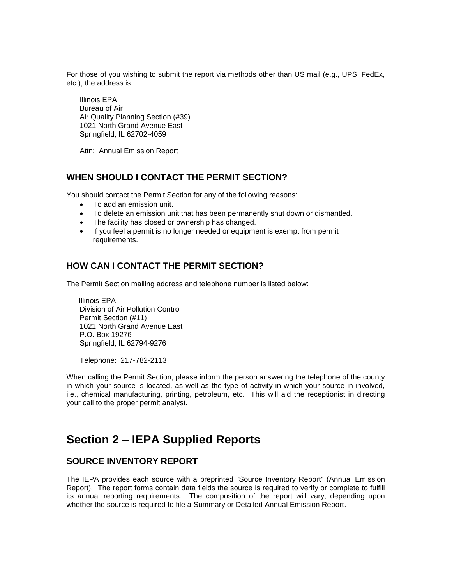For those of you wishing to submit the report via methods other than US mail (e.g., UPS, FedEx, etc.), the address is:

Illinois EPA Bureau of Air Air Quality Planning Section (#39) 1021 North Grand Avenue East Springfield, IL 62702-4059

Attn: Annual Emission Report

#### **WHEN SHOULD I CONTACT THE PERMIT SECTION?**

You should contact the Permit Section for any of the following reasons:

- To add an emission unit.
- To delete an emission unit that has been permanently shut down or dismantled.
- The facility has closed or ownership has changed.
- If you feel a permit is no longer needed or equipment is exempt from permit requirements.

#### **HOW CAN I CONTACT THE PERMIT SECTION?**

The Permit Section mailing address and telephone number is listed below:

 Illinois EPA Division of Air Pollution Control Permit Section (#11) 1021 North Grand Avenue East P.O. Box 19276 Springfield, IL 62794-9276

Telephone: 217-782-2113

When calling the Permit Section, please inform the person answering the telephone of the county in which your source is located, as well as the type of activity in which your source in involved, i.e., chemical manufacturing, printing, petroleum, etc. This will aid the receptionist in directing your call to the proper permit analyst.

### **Section 2 – IEPA Supplied Reports**

#### **SOURCE INVENTORY REPORT**

The IEPA provides each source with a preprinted "Source Inventory Report" (Annual Emission Report). The report forms contain data fields the source is required to verify or complete to fulfill its annual reporting requirements. The composition of the report will vary, depending upon whether the source is required to file a Summary or Detailed Annual Emission Report.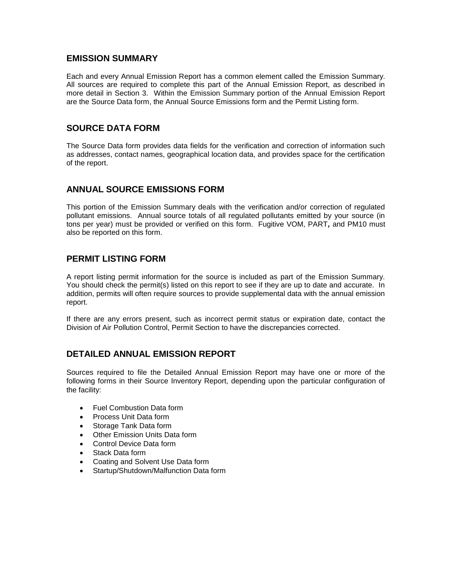#### **EMISSION SUMMARY**

Each and every Annual Emission Report has a common element called the Emission Summary. All sources are required to complete this part of the Annual Emission Report, as described in more detail in Section 3. Within the Emission Summary portion of the Annual Emission Report are the Source Data form, the Annual Source Emissions form and the Permit Listing form.

#### **SOURCE DATA FORM**

The Source Data form provides data fields for the verification and correction of information such as addresses, contact names, geographical location data, and provides space for the certification of the report.

#### **ANNUAL SOURCE EMISSIONS FORM**

This portion of the Emission Summary deals with the verification and/or correction of regulated pollutant emissions. Annual source totals of all regulated pollutants emitted by your source (in tons per year) must be provided or verified on this form. Fugitive VOM, PART*,* and PM10 must also be reported on this form.

#### **PERMIT LISTING FORM**

A report listing permit information for the source is included as part of the Emission Summary. You should check the permit(s) listed on this report to see if they are up to date and accurate. In addition, permits will often require sources to provide supplemental data with the annual emission report.

If there are any errors present, such as incorrect permit status or expiration date, contact the Division of Air Pollution Control, Permit Section to have the discrepancies corrected.

#### **DETAILED ANNUAL EMISSION REPORT**

Sources required to file the Detailed Annual Emission Report may have one or more of the following forms in their Source Inventory Report, depending upon the particular configuration of the facility:

- Fuel Combustion Data form
- Process Unit Data form
- Storage Tank Data form
- Other Emission Units Data form
- Control Device Data form
- Stack Data form
- Coating and Solvent Use Data form
- Startup/Shutdown/Malfunction Data form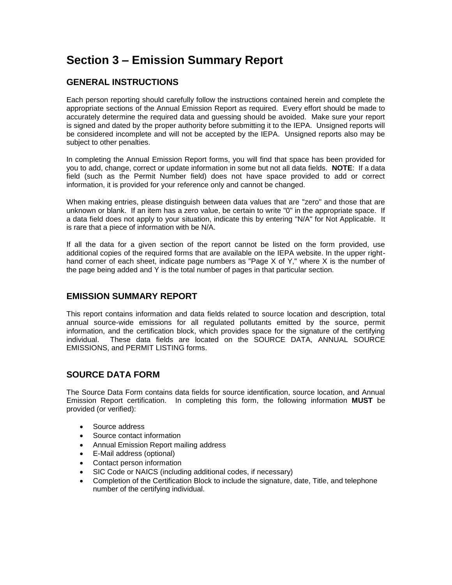## **Section 3 – Emission Summary Report**

### **GENERAL INSTRUCTIONS**

Each person reporting should carefully follow the instructions contained herein and complete the appropriate sections of the Annual Emission Report as required. Every effort should be made to accurately determine the required data and guessing should be avoided. Make sure your report is signed and dated by the proper authority before submitting it to the IEPA. Unsigned reports will be considered incomplete and will not be accepted by the IEPA. Unsigned reports also may be subject to other penalties.

In completing the Annual Emission Report forms, you will find that space has been provided for you to add, change, correct or update information in some but not all data fields. **NOTE**: If a data field (such as the Permit Number field) does not have space provided to add or correct information, it is provided for your reference only and cannot be changed.

When making entries, please distinguish between data values that are "zero" and those that are unknown or blank. If an item has a zero value, be certain to write "0" in the appropriate space. If a data field does not apply to your situation, indicate this by entering "N/A" for Not Applicable. It is rare that a piece of information with be N/A.

If all the data for a given section of the report cannot be listed on the form provided, use additional copies of the required forms that are available on the IEPA website. In the upper righthand corner of each sheet, indicate page numbers as "Page X of Y," where X is the number of the page being added and Y is the total number of pages in that particular section.

#### **EMISSION SUMMARY REPORT**

This report contains information and data fields related to source location and description, total annual source-wide emissions for all regulated pollutants emitted by the source, permit information, and the certification block, which provides space for the signature of the certifying individual. These data fields are located on the SOURCE DATA, ANNUAL SOURCE EMISSIONS, and PERMIT LISTING forms.

### **SOURCE DATA FORM**

The Source Data Form contains data fields for source identification, source location, and Annual Emission Report certification. In completing this form, the following information **MUST** be provided (or verified):

- Source address
- Source contact information
- Annual Emission Report mailing address
- E-Mail address (optional)
- Contact person information
- SIC Code or NAICS (including additional codes, if necessary)
- Completion of the Certification Block to include the signature, date, Title, and telephone number of the certifying individual.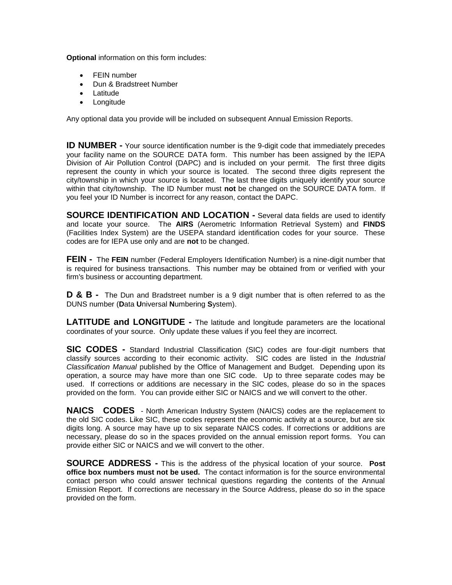**Optional** information on this form includes:

- FEIN number
- Dun & Bradstreet Number
- **Latitude**
- Longitude

Any optional data you provide will be included on subsequent Annual Emission Reports.

**ID NUMBER -** Your source identification number is the 9-digit code that immediately precedes your facility name on the SOURCE DATA form. This number has been assigned by the IEPA Division of Air Pollution Control (DAPC) and is included on your permit. The first three digits represent the county in which your source is located. The second three digits represent the city/township in which your source is located. The last three digits uniquely identify your source within that city/township. The ID Number must **not** be changed on the SOURCE DATA form. If you feel your ID Number is incorrect for any reason, contact the DAPC.

**SOURCE IDENTIFICATION AND LOCATION -** Several data fields are used to identify and locate your source. The **AIRS** (Aerometric Information Retrieval System) and **FINDS** (Facilities Index System) are the USEPA standard identification codes for your source. These codes are for IEPA use only and are **not** to be changed.

**FEIN -** The **FEIN** number (Federal Employers Identification Number) is a nine-digit number that is required for business transactions. This number may be obtained from or verified with your firm's business or accounting department.

**D & B -** The Dun and Bradstreet number is a 9 digit number that is often referred to as the DUNS number (**D**ata **U**niversal **N**umbering **S**ystem).

**LATITUDE and LONGITUDE -** The latitude and longitude parameters are the locational coordinates of your source. Only update these values if you feel they are incorrect.

**SIC CODES -** Standard Industrial Classification (SIC) codes are four-digit numbers that classify sources according to their economic activity. SIC codes are listed in the *Industrial Classification Manual* published by the Office of Management and Budget. Depending upon its operation, a source may have more than one SIC code. Up to three separate codes may be used. If corrections or additions are necessary in the SIC codes, please do so in the spaces provided on the form. You can provide either SIC or NAICS and we will convert to the other.

**NAICS CODES** - North American Industry System (NAICS) codes are the replacement to the old SIC codes. Like SIC, these codes represent the economic activity at a source, but are six digits long. A source may have up to six separate NAICS codes. If corrections or additions are necessary, please do so in the spaces provided on the annual emission report forms. You can provide either SIC or NAICS and we will convert to the other.

**SOURCE ADDRESS -** This is the address of the physical location of your source. **Post office box numbers must not be used.** The contact information is for the source environmental contact person who could answer technical questions regarding the contents of the Annual Emission Report. If corrections are necessary in the Source Address, please do so in the space provided on the form.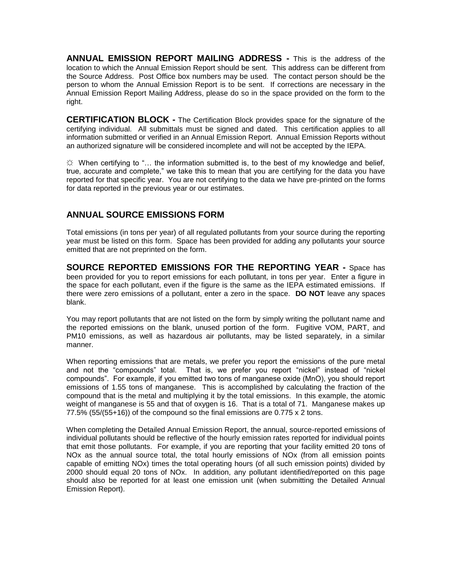**ANNUAL EMISSION REPORT MAILING ADDRESS -** This is the address of the location to which the Annual Emission Report should be sent. This address can be different from the Source Address. Post Office box numbers may be used. The contact person should be the person to whom the Annual Emission Report is to be sent. If corrections are necessary in the Annual Emission Report Mailing Address, please do so in the space provided on the form to the right.

**CERTIFICATION BLOCK -** The Certification Block provides space for the signature of the certifying individual. All submittals must be signed and dated. This certification applies to all information submitted or verified in an Annual Emission Report. Annual Emission Reports without an authorized signature will be considered incomplete and will not be accepted by the IEPA.

 $\ddot{\varphi}$  When certifying to "... the information submitted is, to the best of my knowledge and belief, true, accurate and complete," we take this to mean that you are certifying for the data you have reported for that specific year. You are not certifying to the data we have pre-printed on the forms for data reported in the previous year or our estimates.

#### **ANNUAL SOURCE EMISSIONS FORM**

Total emissions (in tons per year) of all regulated pollutants from your source during the reporting year must be listed on this form. Space has been provided for adding any pollutants your source emitted that are not preprinted on the form.

**SOURCE REPORTED EMISSIONS FOR THE REPORTING YEAR -** Space has been provided for you to report emissions for each pollutant, in tons per year. Enter a figure in the space for each pollutant, even if the figure is the same as the IEPA estimated emissions. If there were zero emissions of a pollutant, enter a zero in the space. **DO NOT** leave any spaces blank.

You may report pollutants that are not listed on the form by simply writing the pollutant name and the reported emissions on the blank, unused portion of the form. Fugitive VOM, PART, and PM10 emissions, as well as hazardous air pollutants, may be listed separately, in a similar manner.

When reporting emissions that are metals, we prefer you report the emissions of the pure metal and not the "compounds" total. That is, we prefer you report "nickel" instead of "nickel compounds". For example, if you emitted two tons of manganese oxide (MnO), you should report emissions of 1.55 tons of manganese. This is accomplished by calculating the fraction of the compound that is the metal and multiplying it by the total emissions. In this example, the atomic weight of manganese is 55 and that of oxygen is 16. That is a total of 71. Manganese makes up 77.5% (55/(55+16)) of the compound so the final emissions are 0.775 x 2 tons.

When completing the Detailed Annual Emission Report, the annual, source-reported emissions of individual pollutants should be reflective of the hourly emission rates reported for individual points that emit those pollutants. For example, if you are reporting that your facility emitted 20 tons of NOx as the annual source total, the total hourly emissions of NOx (from all emission points capable of emitting NOx) times the total operating hours (of all such emission points) divided by 2000 should equal 20 tons of NOx. In addition, any pollutant identified/reported on this page should also be reported for at least one emission unit (when submitting the Detailed Annual Emission Report).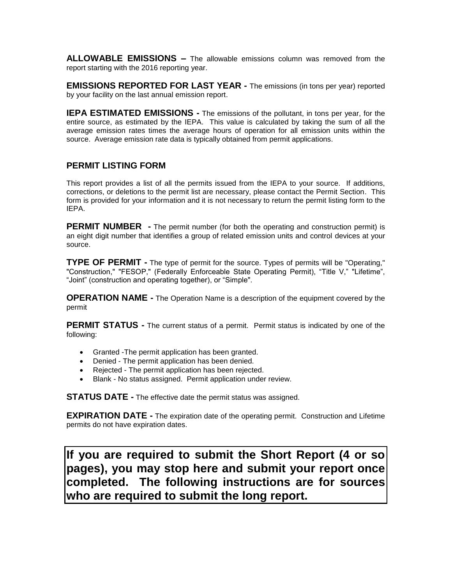**ALLOWABLE EMISSIONS –** The allowable emissions column was removed from the report starting with the 2016 reporting year.

**EMISSIONS REPORTED FOR LAST YEAR -** The emissions (in tons per year) reported by your facility on the last annual emission report.

**IEPA ESTIMATED EMISSIONS -** The emissions of the pollutant, in tons per year, for the entire source, as estimated by the IEPA. This value is calculated by taking the sum of all the average emission rates times the average hours of operation for all emission units within the source. Average emission rate data is typically obtained from permit applications.

#### **PERMIT LISTING FORM**

This report provides a list of all the permits issued from the IEPA to your source. If additions, corrections, or deletions to the permit list are necessary, please contact the Permit Section. This form is provided for your information and it is not necessary to return the permit listing form to the IEPA.

**PERMIT NUMBER** - The permit number (for both the operating and construction permit) is an eight digit number that identifies a group of related emission units and control devices at your source.

**TYPE OF PERMIT -** The type of permit for the source. Types of permits will be "Operating," "Construction," "FESOP," (Federally Enforceable State Operating Permit), "Title V," "Lifetime", "Joint" (construction and operating together), or "Simple".

**OPERATION NAME -** The Operation Name is a description of the equipment covered by the permit

**PERMIT STATUS -** The current status of a permit. Permit status is indicated by one of the following:

- Granted -The permit application has been granted.
- Denied The permit application has been denied.
- Rejected The permit application has been rejected.
- Blank No status assigned. Permit application under review.

**STATUS DATE -** The effective date the permit status was assigned.

**EXPIRATION DATE -** The expiration date of the operating permit. Construction and Lifetime permits do not have expiration dates.

**If you are required to submit the Short Report (4 or so pages), you may stop here and submit your report once completed. The following instructions are for sources who are required to submit the long report.**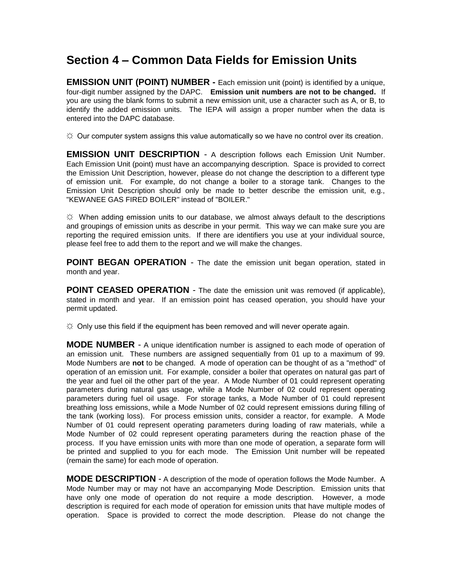### **Section 4 – Common Data Fields for Emission Units**

**EMISSION UNIT (POINT) NUMBER -** Each emission unit (point) is identified by a unique, four-digit number assigned by the DAPC. **Emission unit numbers are not to be changed.** If you are using the blank forms to submit a new emission unit, use a character such as A, or B, to identify the added emission units. The IEPA will assign a proper number when the data is entered into the DAPC database.

 $\Im$  Our computer system assigns this value automatically so we have no control over its creation.

**EMISSION UNIT DESCRIPTION** - A description follows each Emission Unit Number. Each Emission Unit (point) must have an accompanying description. Space is provided to correct the Emission Unit Description, however, please do not change the description to a different type of emission unit. For example, do not change a boiler to a storage tank. Changes to the Emission Unit Description should only be made to better describe the emission unit, e.g., "KEWANEE GAS FIRED BOILER" instead of "BOILER."

 $\varphi$  When adding emission units to our database, we almost always default to the descriptions and groupings of emission units as describe in your permit. This way we can make sure you are reporting the required emission units. If there are identifiers you use at your individual source, please feel free to add them to the report and we will make the changes.

**POINT BEGAN OPERATION** - The date the emission unit began operation, stated in month and year.

**POINT CEASED OPERATION** - The date the emission unit was removed (if applicable), stated in month and year. If an emission point has ceased operation, you should have your permit updated.

 $\ddot{\varphi}$  Only use this field if the equipment has been removed and will never operate again.

**MODE NUMBER** - A unique identification number is assigned to each mode of operation of an emission unit. These numbers are assigned sequentially from 01 up to a maximum of 99. Mode Numbers are **not** to be changed. A mode of operation can be thought of as a "method" of operation of an emission unit. For example, consider a boiler that operates on natural gas part of the year and fuel oil the other part of the year. A Mode Number of 01 could represent operating parameters during natural gas usage, while a Mode Number of 02 could represent operating parameters during fuel oil usage. For storage tanks, a Mode Number of 01 could represent breathing loss emissions, while a Mode Number of 02 could represent emissions during filling of the tank (working loss). For process emission units, consider a reactor, for example. A Mode Number of 01 could represent operating parameters during loading of raw materials, while a Mode Number of 02 could represent operating parameters during the reaction phase of the process. If you have emission units with more than one mode of operation, a separate form will be printed and supplied to you for each mode. The Emission Unit number will be repeated (remain the same) for each mode of operation.

**MODE DESCRIPTION** - A description of the mode of operation follows the Mode Number. A Mode Number may or may not have an accompanying Mode Description. Emission units that have only one mode of operation do not require a mode description. However, a mode description is required for each mode of operation for emission units that have multiple modes of operation. Space is provided to correct the mode description. Please do not change the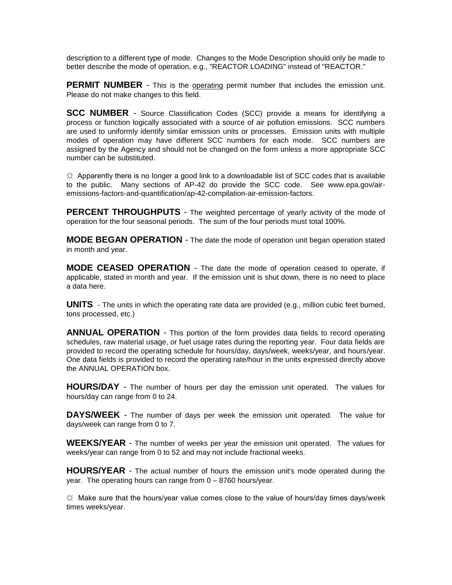description to a different type of mode. Changes to the Mode Description should only be made to better describe the mode of operation, e.g., "REACTOR LOADING" instead of "REACTOR."

**PERMIT NUMBER** - This is the operating permit number that includes the emission unit. Please do not make changes to this field.

**SCC NUMBER** - Source Classification Codes (SCC) provide a means for identifying a process or function logically associated with a source of air pollution emissions. SCC numbers are used to uniformly identify similar emission units or processes. Emission units with multiple modes of operation may have different SCC numbers for each mode. SCC numbers are assigned by the Agency and should not be changed on the form unless a more appropriate SCC number can be substituted.

 $\Im$  Apparently there is no longer a good link to a downloadable list of SCC codes that is available to the public. Many sections of AP-42 do provide the SCC code. See www.epa.gov/airemissions-factors-and-quantification/ap-42-compilation-air-emission-factors.

**PERCENT THROUGHPUTS** - The weighted percentage of yearly activity of the mode of operation for the four seasonal periods. The sum of the four periods must total 100%.

**MODE BEGAN OPERATION** - The date the mode of operation unit began operation stated in month and year.

**MODE CEASED OPERATION** - The date the mode of operation ceased to operate, if applicable, stated in month and year. If the emission unit is shut down, there is no need to place a data here.

**UNITS** - The units in which the operating rate data are provided (e.g., million cubic feet burned, tons processed, etc.)

**ANNUAL OPERATION** - This portion of the form provides data fields to record operating schedules, raw material usage, or fuel usage rates during the reporting year. Four data fields are provided to record the operating schedule for hours/day, days/week, weeks/year, and hours/year. One data fields is provided to record the operating rate/hour in the units expressed directly above the ANNUAL OPERATION box.

**HOURS/DAY** - The number of hours per day the emission unit operated. The values for hours/day can range from 0 to 24.

**DAYS/WEEK** - The number of days per week the emission unit operated. The value for days/week can range from 0 to 7.

**WEEKS/YEAR** - The number of weeks per year the emission unit operated. The values for weeks/year can range from 0 to 52 and may not include fractional weeks.

**HOURS/YEAR** - The actual number of hours the emission unit's mode operated during the year. The operating hours can range from 0 – 8760 hours/year.

☼ Make sure that the hours/year value comes close to the value of hours/day times days/week times weeks/year.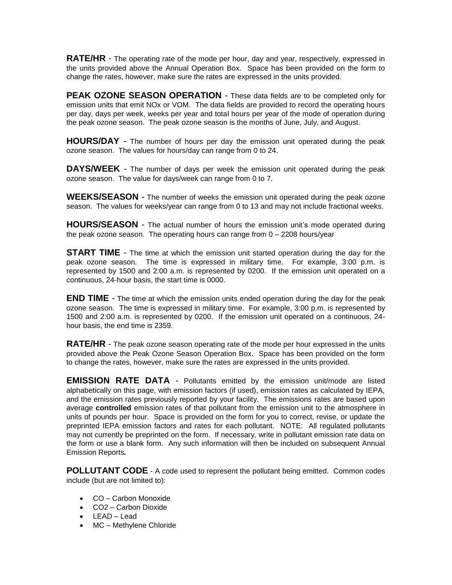**RATE/HR** - The operating rate of the mode per hour, day and year, respectively, expressed in the units provided above the Annual Operation Box. Space has been provided on the form to change the rates, however, make sure the rates are expressed in the units provided.

**PEAK OZONE SEASON OPERATION** - These data fields are to be completed only for emission units that emit NOx or VOM. The data fields are provided to record the operating hours per day, days per week, weeks per year and total hours per year of the mode of operation during the peak ozone season. The peak ozone season is the months of June, July, and August.

**HOURS/DAY** - The number of hours per day the emission unit operated during the peak ozone season. The values for hours/day can range from 0 to 24.

**DAYS/WEEK** - The number of days per week the emission unit operated during the peak ozone season. The value for days/week can range from 0 to 7.

**WEEKS/SEASON** - The number of weeks the emission unit operated during the peak ozone season. The values for weeks/year can range from 0 to 13 and may not include fractional weeks.

**HOURS/SEASON** - The actual number of hours the emission unit's mode operated during the peak ozone season. The operating hours can range from 0 – 2208 hours/year

**START TIME** - The time at which the emission unit started operation during the day for the peak ozone season. The time is expressed in military time. For example, 3:00 p.m. is represented by 1500 and 2:00 a.m. is represented by 0200. If the emission unit operated on a continuous, 24-hour basis, the start time is 0000.

**END TIME** - The time at which the emission units ended operation during the day for the peak ozone season. The time is expressed in military time. For example, 3:00 p.m. is represented by 1500 and 2:00 a.m. is represented by 0200. If the emission unit operated on a continuous, 24 hour basis, the end time is 2359.

**RATE/HR** - The peak ozone season operating rate of the mode per hour expressed in the units provided above the Peak Ozone Season Operation Box. Space has been provided on the form to change the rates, however, make sure the rates are expressed in the units provided.

**EMISSION RATE DATA** - Pollutants emitted by the emission unit/mode are listed alphabetically on this page, with emission factors (if used), emission rates as calculated by IEPA, and the emission rates previously reported by your facility. The emissions rates are based upon average **controlled** emission rates of that pollutant from the emission unit to the atmosphere in units of pounds per hour. Space is provided on the form for you to correct, revise, or update the preprinted IEPA emission factors and rates for each pollutant. NOTE: All regulated pollutants may not currently be preprinted on the form. If necessary, write in pollutant emission rate data on the form or use a blank form. Any such information will then be included on subsequent Annual Emission Reports*.*

**POLLUTANT CODE** - A code used to represent the pollutant being emitted. Common codes include (but are not limited to):

- CO Carbon Monoxide
- CO2 Carbon Dioxide
- LEAD Lead
- MC Methylene Chloride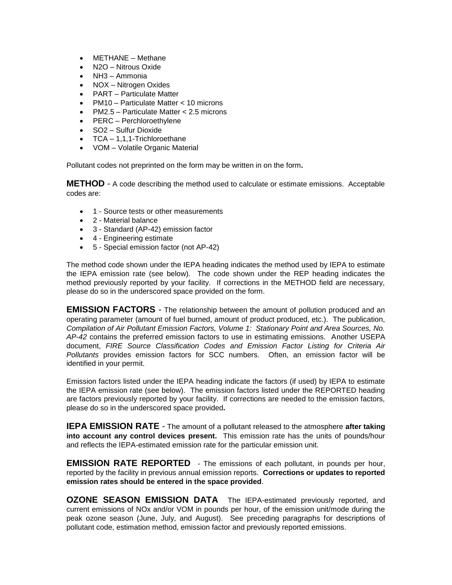- METHANE Methane
- N2O Nitrous Oxide
- NH3 Ammonia
- NOX Nitrogen Oxides
- PART Particulate Matter
- PM10 Particulate Matter < 10 microns
- PM2.5 Particulate Matter < 2.5 microns
- PERC Perchloroethylene
- SO2 Sulfur Dioxide
- TCA 1,1,1-Trichloroethane
- VOM Volatile Organic Material

Pollutant codes not preprinted on the form may be written in on the form*.*

**METHOD** - A code describing the method used to calculate or estimate emissions. Acceptable codes are:

- 1 Source tests or other measurements
- 2 Material balance
- 3 Standard (AP-42) emission factor
- 4 Engineering estimate
- 5 Special emission factor (not AP-42)

The method code shown under the IEPA heading indicates the method used by IEPA to estimate the IEPA emission rate (see below). The code shown under the REP heading indicates the method previously reported by your facility. If corrections in the METHOD field are necessary, please do so in the underscored space provided on the form.

**EMISSION FACTORS** - The relationship between the amount of pollution produced and an operating parameter (amount of fuel burned, amount of product produced, etc.). The publication, *Compilation of Air Pollutant Emission Factors, Volume 1: Stationary Point and Area Sources, No. AP-42* contains the preferred emission factors to use in estimating emissions. Another USEPA document, *FIRE Source Classification Codes and Emission Factor Listing for Criteria Air Pollutants* provides emission factors for SCC numbers. Often, an emission factor will be identified in your permit.

Emission factors listed under the IEPA heading indicate the factors (if used) by IEPA to estimate the IEPA emission rate (see below). The emission factors listed under the REPORTED heading are factors previously reported by your facility. If corrections are needed to the emission factors, please do so in the underscored space provided*.*

**IEPA EMISSION RATE** - The amount of a pollutant released to the atmosphere **after taking into account any control devices present.** This emission rate has the units of pounds/hour and reflects the IEPA-estimated emission rate for the particular emission unit.

**EMISSION RATE REPORTED** - The emissions of each pollutant, in pounds per hour, reported by the facility in previous annual emission reports. **Corrections or updates to reported emission rates should be entered in the space provided**.

**OZONE SEASON EMISSION DATA** The IEPA-estimated previously reported, and current emissions of NOx and/or VOM in pounds per hour, of the emission unit/mode during the peak ozone season (June, July, and August). See preceding paragraphs for descriptions of pollutant code, estimation method, emission factor and previously reported emissions.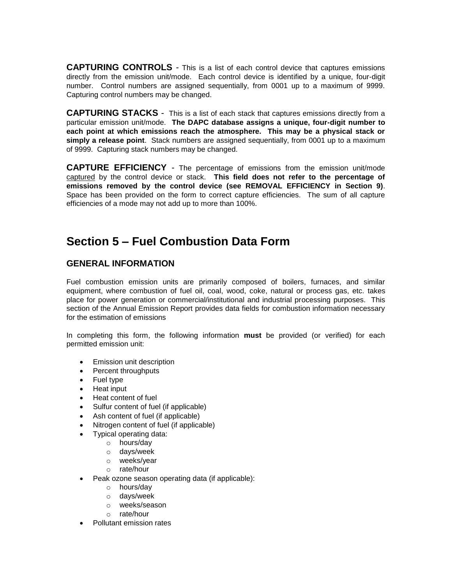**CAPTURING CONTROLS** - This is a list of each control device that captures emissions directly from the emission unit/mode. Each control device is identified by a unique, four-digit number. Control numbers are assigned sequentially, from 0001 up to a maximum of 9999. Capturing control numbers may be changed.

**CAPTURING STACKS** - This is a list of each stack that captures emissions directly from a particular emission unit/mode. **The DAPC database assigns a unique, four-digit number to each point at which emissions reach the atmosphere. This may be a physical stack or simply a release point**. Stack numbers are assigned sequentially, from 0001 up to a maximum of 9999. Capturing stack numbers may be changed.

**CAPTURE EFFICIENCY** - The percentage of emissions from the emission unit/mode captured by the control device or stack. **This field does not refer to the percentage of emissions removed by the control device (see REMOVAL EFFICIENCY in Section 9)**. Space has been provided on the form to correct capture efficiencies. The sum of all capture efficiencies of a mode may not add up to more than 100%.

## **Section 5 – Fuel Combustion Data Form**

#### **GENERAL INFORMATION**

Fuel combustion emission units are primarily composed of boilers, furnaces, and similar equipment, where combustion of fuel oil, coal, wood, coke, natural or process gas, etc. takes place for power generation or commercial/institutional and industrial processing purposes. This section of the Annual Emission Report provides data fields for combustion information necessary for the estimation of emissions

In completing this form, the following information **must** be provided (or verified) for each permitted emission unit:

- Emission unit description
- Percent throughputs
- Fuel type
- Heat input
- Heat content of fuel
- Sulfur content of fuel (if applicable)
- Ash content of fuel (if applicable)
- Nitrogen content of fuel (if applicable)
- Typical operating data:
	- o hours/day
	- o days/week
	- o weeks/year
	- o rate/hour
- Peak ozone season operating data (if applicable):
	- o hours/day
	- o days/week
	- o weeks/season
	- o rate/hour
- Pollutant emission rates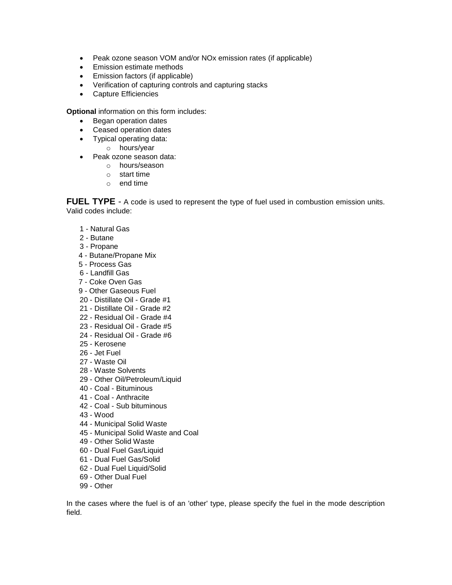- Peak ozone season VOM and/or NOx emission rates (if applicable)
- Emission estimate methods
- Emission factors (if applicable)
- Verification of capturing controls and capturing stacks
- Capture Efficiencies

**Optional** information on this form includes:

- Began operation dates
- Ceased operation dates
- Typical operating data:
	- o hours/year
- Peak ozone season data:
	- o hours/season
	- o start time
	- o end time

FUEL TYPE - A code is used to represent the type of fuel used in combustion emission units. Valid codes include:

- 1 Natural Gas
- 2 Butane
- 3 Propane
- 4 Butane/Propane Mix
- 5 Process Gas
- 6 Landfill Gas
- 7 Coke Oven Gas
- 9 Other Gaseous Fuel
- 20 Distillate Oil Grade #1
- 21 Distillate Oil Grade #2
- 22 Residual Oil Grade #4
- 23 Residual Oil Grade #5
- 24 Residual Oil Grade #6
- 25 Kerosene
- 26 Jet Fuel
- 27 Waste Oil
- 28 Waste Solvents
- 29 Other Oil/Petroleum/Liquid
- 40 Coal Bituminous
- 41 Coal Anthracite
- 42 Coal Sub bituminous
- 43 Wood
- 44 Municipal Solid Waste
- 45 Municipal Solid Waste and Coal
- 49 Other Solid Waste
- 60 Dual Fuel Gas/Liquid
- 61 Dual Fuel Gas/Solid
- 62 Dual Fuel Liquid/Solid
- 69 Other Dual Fuel
- 99 Other

In the cases where the fuel is of an 'other' type, please specify the fuel in the mode description field.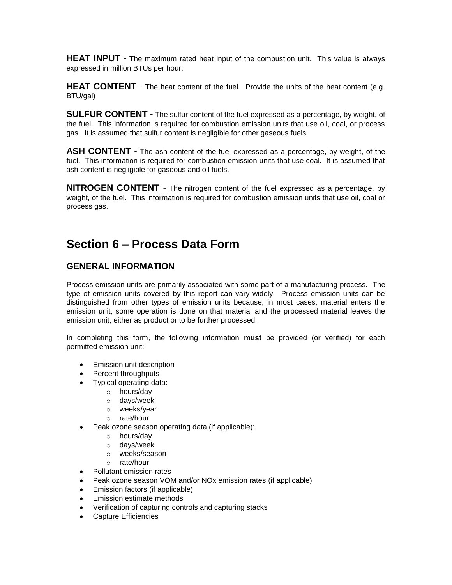**HEAT INPUT** - The maximum rated heat input of the combustion unit. This value is always expressed in million BTUs per hour.

**HEAT CONTENT** - The heat content of the fuel. Provide the units of the heat content (e.g. BTU/gal)

**SULFUR CONTENT** - The sulfur content of the fuel expressed as a percentage, by weight, of the fuel. This information is required for combustion emission units that use oil, coal, or process gas. It is assumed that sulfur content is negligible for other gaseous fuels.

**ASH CONTENT** - The ash content of the fuel expressed as a percentage, by weight, of the fuel. This information is required for combustion emission units that use coal. It is assumed that ash content is negligible for gaseous and oil fuels.

**NITROGEN CONTENT** - The nitrogen content of the fuel expressed as a percentage, by weight, of the fuel. This information is required for combustion emission units that use oil, coal or process gas.

### **Section 6 – Process Data Form**

#### **GENERAL INFORMATION**

Process emission units are primarily associated with some part of a manufacturing process. The type of emission units covered by this report can vary widely. Process emission units can be distinguished from other types of emission units because, in most cases, material enters the emission unit, some operation is done on that material and the processed material leaves the emission unit, either as product or to be further processed.

In completing this form, the following information **must** be provided (or verified) for each permitted emission unit:

- Emission unit description
- Percent throughputs
- Typical operating data:
	- o hours/day
	- o days/week
	- o weeks/year
	- o rate/hour
- Peak ozone season operating data (if applicable):
	- o hours/day
	- o days/week
	- o weeks/season
	- o rate/hour
- Pollutant emission rates
- Peak ozone season VOM and/or NOx emission rates (if applicable)
- Emission factors (if applicable)
- Emission estimate methods
- Verification of capturing controls and capturing stacks
- Capture Efficiencies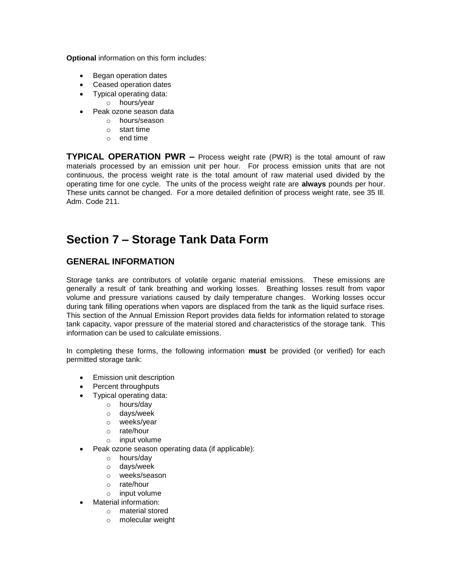**Optional** information on this form includes:

- Began operation dates
- Ceased operation dates
- Typical operating data:
	- o hours/year
- Peak ozone season data
	- o hours/season
	- o start time
	- o end time

**TYPICAL OPERATION PWR –** Process weight rate (PWR) is the total amount of raw materials processed by an emission unit per hour. For process emission units that are not continuous, the process weight rate is the total amount of raw material used divided by the operating time for one cycle. The units of the process weight rate are **always** pounds per hour. These units cannot be changed. For a more detailed definition of process weight rate, see 35 Ill. Adm. Code 211.

### **Section 7 – Storage Tank Data Form**

#### **GENERAL INFORMATION**

Storage tanks are contributors of volatile organic material emissions. These emissions are generally a result of tank breathing and working losses. Breathing losses result from vapor volume and pressure variations caused by daily temperature changes. Working losses occur during tank filling operations when vapors are displaced from the tank as the liquid surface rises. This section of the Annual Emission Report provides data fields for information related to storage tank capacity, vapor pressure of the material stored and characteristics of the storage tank. This information can be used to calculate emissions.

In completing these forms, the following information **must** be provided (or verified) for each permitted storage tank:

- Emission unit description
- Percent throughputs
- Typical operating data:
	- o hours/day
	- o days/week
	- o weeks/year
	- o rate/hour
	- o input volume
	- Peak ozone season operating data (if applicable):
		- o hours/day
		- o days/week
		- o weeks/season
		- o rate/hour
		- o input volume
	- Material information:
		- o material stored
		- o molecular weight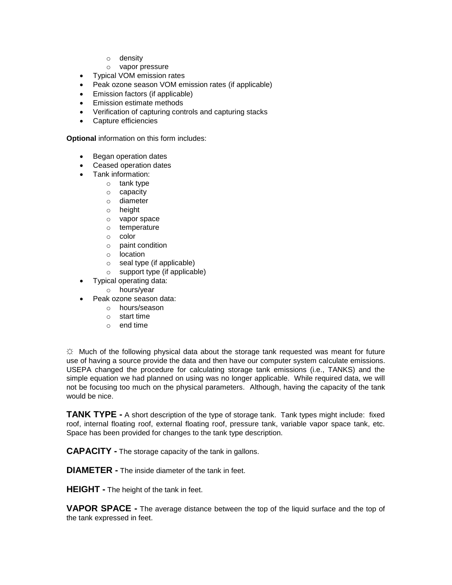- o density
- o vapor pressure
- Typical VOM emission rates
- Peak ozone season VOM emission rates (if applicable)
- Emission factors (if applicable)
- Emission estimate methods
- Verification of capturing controls and capturing stacks
- Capture efficiencies

**Optional** information on this form includes:

- Began operation dates
- Ceased operation dates
- Tank information:
	- o tank type
	- o capacity
	- o diameter
	- o height
	- o vapor space
	- o temperature
	- o color
	- o paint condition
	- o location
	- o seal type (if applicable)
	- o support type (if applicable)
	- Typical operating data:
		- o hours/year
- Peak ozone season data:
	- o hours/season
	- o start time
	- o end time

☼ Much of the following physical data about the storage tank requested was meant for future use of having a source provide the data and then have our computer system calculate emissions. USEPA changed the procedure for calculating storage tank emissions (i.e., TANKS) and the simple equation we had planned on using was no longer applicable. While required data, we will not be focusing too much on the physical parameters. Although, having the capacity of the tank would be nice.

**TANK TYPE -** A short description of the type of storage tank. Tank types might include: fixed roof, internal floating roof, external floating roof, pressure tank, variable vapor space tank, etc. Space has been provided for changes to the tank type description.

**CAPACITY -** The storage capacity of the tank in gallons.

**DIAMETER -** The inside diameter of the tank in feet.

**HEIGHT -** The height of the tank in feet.

**VAPOR SPACE -** The average distance between the top of the liquid surface and the top of the tank expressed in feet.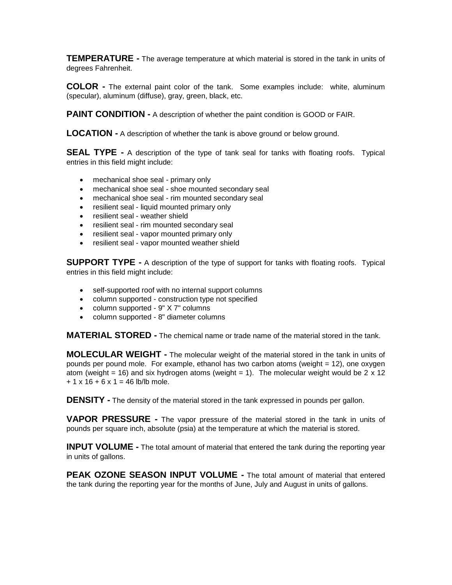**TEMPERATURE -** The average temperature at which material is stored in the tank in units of degrees Fahrenheit.

**COLOR -** The external paint color of the tank. Some examples include: white, aluminum (specular), aluminum (diffuse), gray, green, black, etc.

**PAINT CONDITION -** A description of whether the paint condition is GOOD or FAIR.

**LOCATION -** A description of whether the tank is above ground or below ground.

**SEAL TYPE -** A description of the type of tank seal for tanks with floating roofs. Typical entries in this field might include:

- mechanical shoe seal primary only
- mechanical shoe seal shoe mounted secondary seal
- mechanical shoe seal rim mounted secondary seal
- resilient seal liquid mounted primary only
- resilient seal weather shield
- resilient seal rim mounted secondary seal
- resilient seal vapor mounted primary only
- resilient seal vapor mounted weather shield

**SUPPORT TYPE -** A description of the type of support for tanks with floating roofs. Typical entries in this field might include:

- self-supported roof with no internal support columns
- column supported construction type not specified
- column supported 9" X 7" columns
- column supported 8" diameter columns

**MATERIAL STORED -** The chemical name or trade name of the material stored in the tank.

**MOLECULAR WEIGHT -** The molecular weight of the material stored in the tank in units of pounds per pound mole. For example, ethanol has two carbon atoms (weight = 12), one oxygen atom (weight = 16) and six hydrogen atoms (weight = 1). The molecular weight would be 2  $\times$  12  $+ 1 \times 16 + 6 \times 1 = 46$  lb/lb mole.

**DENSITY** - The density of the material stored in the tank expressed in pounds per gallon.

**VAPOR PRESSURE -** The vapor pressure of the material stored in the tank in units of pounds per square inch, absolute (psia) at the temperature at which the material is stored.

**INPUT VOLUME -** The total amount of material that entered the tank during the reporting year in units of gallons.

**PEAK OZONE SEASON INPUT VOLUME -** The total amount of material that entered the tank during the reporting year for the months of June, July and August in units of gallons.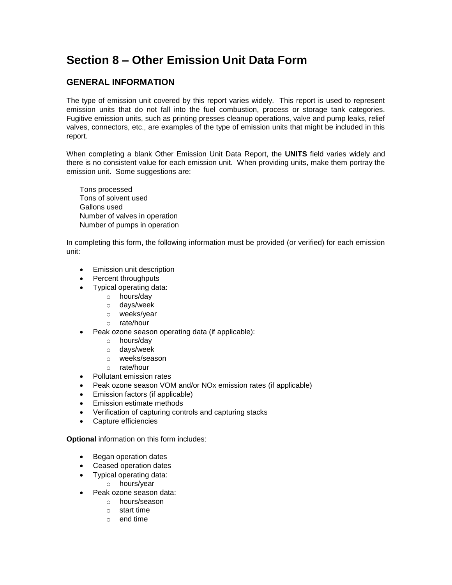## **Section 8 – Other Emission Unit Data Form**

### **GENERAL INFORMATION**

The type of emission unit covered by this report varies widely. This report is used to represent emission units that do not fall into the fuel combustion, process or storage tank categories*.*  Fugitive emission units, such as printing presses cleanup operations, valve and pump leaks, relief valves, connectors, etc., are examples of the type of emission units that might be included in this report.

When completing a blank Other Emission Unit Data Report, the **UNITS** field varies widely and there is no consistent value for each emission unit. When providing units, make them portray the emission unit. Some suggestions are:

Tons processed Tons of solvent used Gallons used Number of valves in operation Number of pumps in operation

In completing this form, the following information must be provided (or verified) for each emission unit:

- Emission unit description
- Percent throughputs
- Typical operating data:
	- o hours/day
	- o days/week
	- o weeks/year
	- o rate/hour
- Peak ozone season operating data (if applicable):
	- o hours/day
	- o days/week
	- o weeks/season
	- o rate/hour
- Pollutant emission rates
- Peak ozone season VOM and/or NOx emission rates (if applicable)
- Emission factors (if applicable)
- Emission estimate methods
- Verification of capturing controls and capturing stacks
- Capture efficiencies

**Optional** information on this form includes:

- Began operation dates
- Ceased operation dates
- Typical operating data:
	- o hours/year
- Peak ozone season data:
	- o hours/season
	- o start time
	- o end time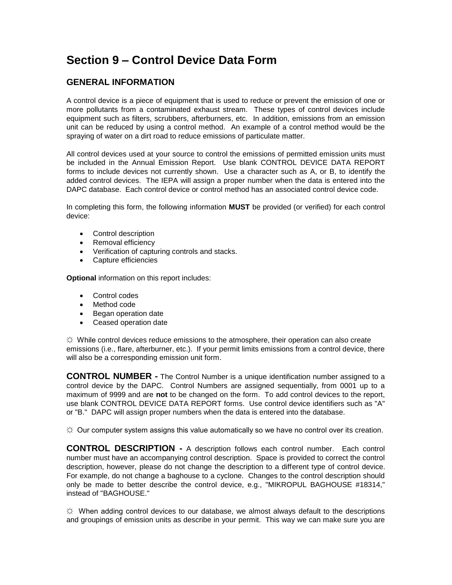## **Section 9 – Control Device Data Form**

#### **GENERAL INFORMATION**

A control device is a piece of equipment that is used to reduce or prevent the emission of one or more pollutants from a contaminated exhaust stream. These types of control devices include equipment such as filters, scrubbers, afterburners, etc. In addition, emissions from an emission unit can be reduced by using a control method. An example of a control method would be the spraying of water on a dirt road to reduce emissions of particulate matter.

All control devices used at your source to control the emissions of permitted emission units must be included in the Annual Emission Report. Use blank CONTROL DEVICE DATA REPORT forms to include devices not currently shown. Use a character such as A, or B, to identify the added control devices. The IEPA will assign a proper number when the data is entered into the DAPC database. Each control device or control method has an associated control device code.

In completing this form, the following information **MUST** be provided (or verified) for each control device:

- Control description
- Removal efficiency
- Verification of capturing controls and stacks.
- Capture efficiencies

**Optional** information on this report includes:

- Control codes
- Method code
- Began operation date
- Ceased operation date

☼ While control devices reduce emissions to the atmosphere, their operation can also create emissions (i.e., flare, afterburner, etc.). If your permit limits emissions from a control device, there will also be a corresponding emission unit form.

**CONTROL NUMBER -** The Control Number is a unique identification number assigned to a control device by the DAPC. Control Numbers are assigned sequentially, from 0001 up to a maximum of 9999 and are **not** to be changed on the form. To add control devices to the report, use blank CONTROL DEVICE DATA REPORT forms. Use control device identifiers such as "A" or "B." DAPC will assign proper numbers when the data is entered into the database.

 $\Im$  Our computer system assigns this value automatically so we have no control over its creation.

**CONTROL DESCRIPTION -** A description follows each control number. Each control number must have an accompanying control description. Space is provided to correct the control description, however, please do not change the description to a different type of control device. For example, do not change a baghouse to a cyclone. Changes to the control description should only be made to better describe the control device, e.g., "MIKROPUL BAGHOUSE #18314," instead of "BAGHOUSE."

 $\ddot{\varphi}$  When adding control devices to our database, we almost always default to the descriptions and groupings of emission units as describe in your permit. This way we can make sure you are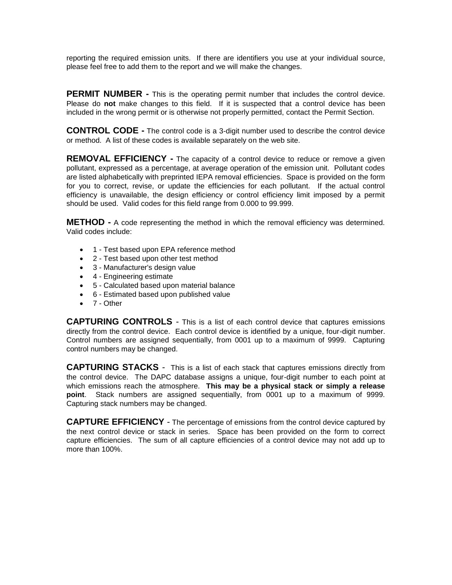reporting the required emission units. If there are identifiers you use at your individual source, please feel free to add them to the report and we will make the changes.

**PERMIT NUMBER -** This is the operating permit number that includes the control device. Please do **not** make changes to this field. If it is suspected that a control device has been included in the wrong permit or is otherwise not properly permitted, contact the Permit Section.

**CONTROL CODE -** The control code is a 3-digit number used to describe the control device or method. A list of these codes is available separately on the web site.

**REMOVAL EFFICIENCY** - The capacity of a control device to reduce or remove a given pollutant, expressed as a percentage, at average operation of the emission unit. Pollutant codes are listed alphabetically with preprinted IEPA removal efficiencies. Space is provided on the form for you to correct, revise, or update the efficiencies for each pollutant. If the actual control efficiency is unavailable, the design efficiency or control efficiency limit imposed by a permit should be used. Valid codes for this field range from 0.000 to 99.999.

**METHOD -** A code representing the method in which the removal efficiency was determined. Valid codes include:

- 1 Test based upon EPA reference method
- 2 Test based upon other test method
- 3 Manufacturer's design value
- 4 Engineering estimate
- 5 Calculated based upon material balance
- 6 Estimated based upon published value
- 7 Other

**CAPTURING CONTROLS** - This is a list of each control device that captures emissions directly from the control device. Each control device is identified by a unique, four-digit number. Control numbers are assigned sequentially, from 0001 up to a maximum of 9999. Capturing control numbers may be changed.

**CAPTURING STACKS** - This is a list of each stack that captures emissions directly from the control device. The DAPC database assigns a unique, four-digit number to each point at which emissions reach the atmosphere. **This may be a physical stack or simply a release point**. Stack numbers are assigned sequentially, from 0001 up to a maximum of 9999. Capturing stack numbers may be changed.

**CAPTURE EFFICIENCY** - The percentage of emissions from the control device captured by the next control device or stack in series. Space has been provided on the form to correct capture efficiencies. The sum of all capture efficiencies of a control device may not add up to more than 100%.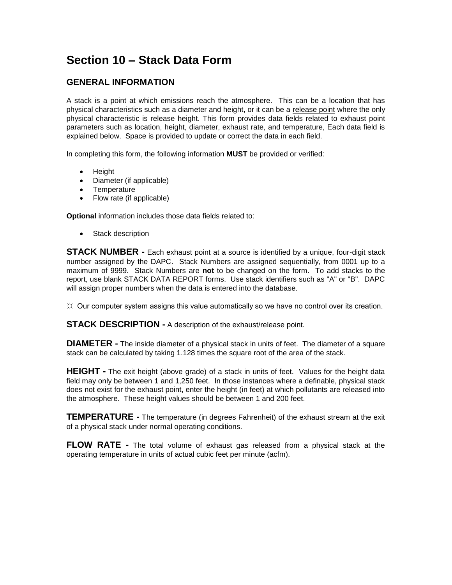## **Section 10 – Stack Data Form**

### **GENERAL INFORMATION**

A stack is a point at which emissions reach the atmosphere. This can be a location that has physical characteristics such as a diameter and height, or it can be a release point where the only physical characteristic is release height. This form provides data fields related to exhaust point parameters such as location, height, diameter, exhaust rate, and temperature, Each data field is explained below. Space is provided to update or correct the data in each field.

In completing this form, the following information **MUST** be provided or verified:

- Height
- Diameter (if applicable)
- Temperature
- Flow rate (if applicable)

**Optional** information includes those data fields related to:

• Stack description

**STACK NUMBER -** Each exhaust point at a source is identified by a unique, four-digit stack number assigned by the DAPC. Stack Numbers are assigned sequentially, from 0001 up to a maximum of 9999. Stack Numbers are **not** to be changed on the form. To add stacks to the report, use blank STACK DATA REPORT forms. Use stack identifiers such as "A" or "B". DAPC will assign proper numbers when the data is entered into the database.

 $\uplus$  Our computer system assigns this value automatically so we have no control over its creation.

**STACK DESCRIPTION -** A description of the exhaust/release point.

**DIAMETER -** The inside diameter of a physical stack in units of feet. The diameter of a square stack can be calculated by taking 1.128 times the square root of the area of the stack.

**HEIGHT** - The exit height (above grade) of a stack in units of feet. Values for the height data field may only be between 1 and 1,250 feet. In those instances where a definable, physical stack does not exist for the exhaust point, enter the height (in feet) at which pollutants are released into the atmosphere. These height values should be between 1 and 200 feet.

**TEMPERATURE -** The temperature (in degrees Fahrenheit) of the exhaust stream at the exit of a physical stack under normal operating conditions.

**FLOW RATE -** The total volume of exhaust gas released from a physical stack at the operating temperature in units of actual cubic feet per minute (acfm).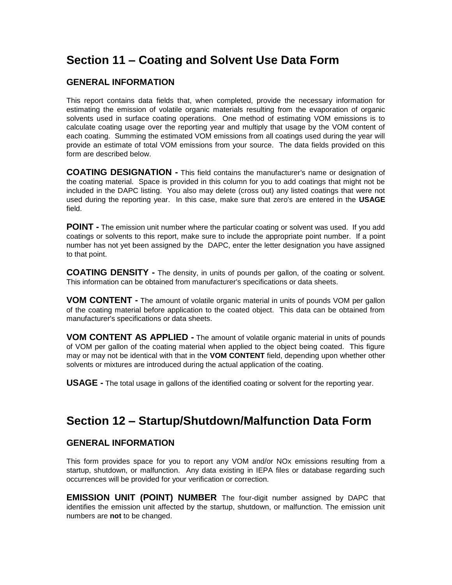### **Section 11 – Coating and Solvent Use Data Form**

#### **GENERAL INFORMATION**

This report contains data fields that, when completed, provide the necessary information for estimating the emission of volatile organic materials resulting from the evaporation of organic solvents used in surface coating operations. One method of estimating VOM emissions is to calculate coating usage over the reporting year and multiply that usage by the VOM content of each coating. Summing the estimated VOM emissions from all coatings used during the year will provide an estimate of total VOM emissions from your source. The data fields provided on this form are described below.

**COATING DESIGNATION -** This field contains the manufacturer's name or designation of the coating material. Space is provided in this column for you to add coatings that might not be included in the DAPC listing. You also may delete (cross out) any listed coatings that were not used during the reporting year. In this case, make sure that zero's are entered in the **USAGE** field.

**POINT** - The emission unit number where the particular coating or solvent was used. If you add coatings or solvents to this report, make sure to include the appropriate point number. If a point number has not yet been assigned by the DAPC, enter the letter designation you have assigned to that point.

**COATING DENSITY -** The density, in units of pounds per gallon, of the coating or solvent. This information can be obtained from manufacturer's specifications or data sheets.

**VOM CONTENT -** The amount of volatile organic material in units of pounds VOM per gallon of the coating material before application to the coated object. This data can be obtained from manufacturer's specifications or data sheets.

**VOM CONTENT AS APPLIED -** The amount of volatile organic material in units of pounds of VOM per gallon of the coating material when applied to the object being coated. This figure may or may not be identical with that in the **VOM CONTENT** field, depending upon whether other solvents or mixtures are introduced during the actual application of the coating.

**USAGE -** The total usage in gallons of the identified coating or solvent for the reporting year.

### **Section 12 – Startup/Shutdown/Malfunction Data Form**

#### **GENERAL INFORMATION**

This form provides space for you to report any VOM and/or NOx emissions resulting from a startup, shutdown, or malfunction. Any data existing in IEPA files or database regarding such occurrences will be provided for your verification or correction.

**EMISSION UNIT (POINT) NUMBER** The four-digit number assigned by DAPC that identifies the emission unit affected by the startup, shutdown, or malfunction. The emission unit numbers are **not** to be changed.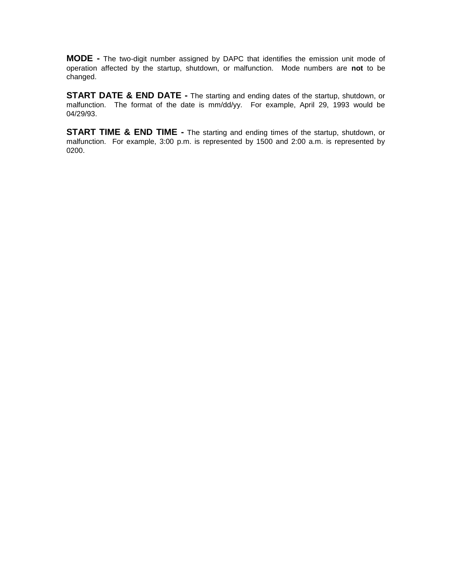**MODE -** The two-digit number assigned by DAPC that identifies the emission unit mode of operation affected by the startup, shutdown, or malfunction. Mode numbers are **not** to be changed.

**START DATE & END DATE -** The starting and ending dates of the startup, shutdown, or malfunction. The format of the date is mm/dd/yy. For example, April 29, 1993 would be 04/29/93.

**START TIME & END TIME -** The starting and ending times of the startup, shutdown, or malfunction. For example, 3:00 p.m. is represented by 1500 and 2:00 a.m. is represented by 0200.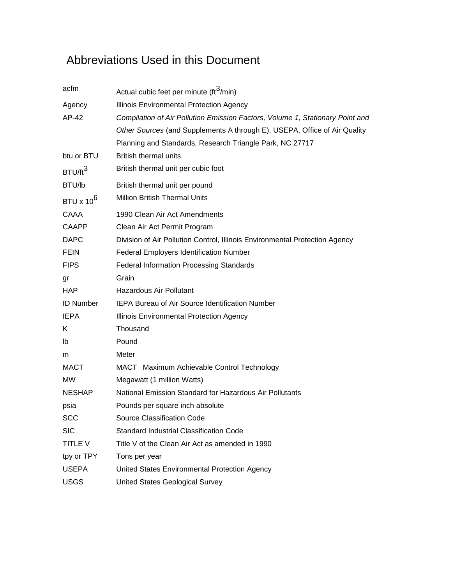# Abbreviations Used in this Document

| acfm                  | Actual cubic feet per minute (ft <sup>3</sup> /min)                           |
|-----------------------|-------------------------------------------------------------------------------|
| Agency                | Illinois Environmental Protection Agency                                      |
| AP-42                 | Compilation of Air Pollution Emission Factors, Volume 1, Stationary Point and |
|                       | Other Sources (and Supplements A through E), USEPA, Office of Air Quality     |
|                       | Planning and Standards, Research Triangle Park, NC 27717                      |
| btu or BTU            | <b>British thermal units</b>                                                  |
| BTU/ft <sup>3</sup>   | British thermal unit per cubic foot                                           |
| BTU/lb                | British thermal unit per pound                                                |
| BTU x 10 <sup>6</sup> | <b>Million British Thermal Units</b>                                          |
| CAAA                  | 1990 Clean Air Act Amendments                                                 |
| <b>CAAPP</b>          | Clean Air Act Permit Program                                                  |
| <b>DAPC</b>           | Division of Air Pollution Control, Illinois Environmental Protection Agency   |
| <b>FEIN</b>           | Federal Employers Identification Number                                       |
| <b>FIPS</b>           | <b>Federal Information Processing Standards</b>                               |
| gr                    | Grain                                                                         |
| <b>HAP</b>            | <b>Hazardous Air Pollutant</b>                                                |
| <b>ID Number</b>      | <b>IEPA Bureau of Air Source Identification Number</b>                        |
| <b>IEPA</b>           | Illinois Environmental Protection Agency                                      |
| K.                    | Thousand                                                                      |
| Ib                    | Pound                                                                         |
| m                     | Meter                                                                         |
| <b>MACT</b>           | MACT Maximum Achievable Control Technology                                    |
| MW                    | Megawatt (1 million Watts)                                                    |
| <b>NESHAP</b>         | National Emission Standard for Hazardous Air Pollutants                       |
| psia                  | Pounds per square inch absolute                                               |
| <b>SCC</b>            | <b>Source Classification Code</b>                                             |
| <b>SIC</b>            | Standard Industrial Classification Code                                       |
| <b>TITLE V</b>        | Title V of the Clean Air Act as amended in 1990                               |
| tpy or TPY            | Tons per year                                                                 |
| <b>USEPA</b>          | United States Environmental Protection Agency                                 |
| <b>USGS</b>           | United States Geological Survey                                               |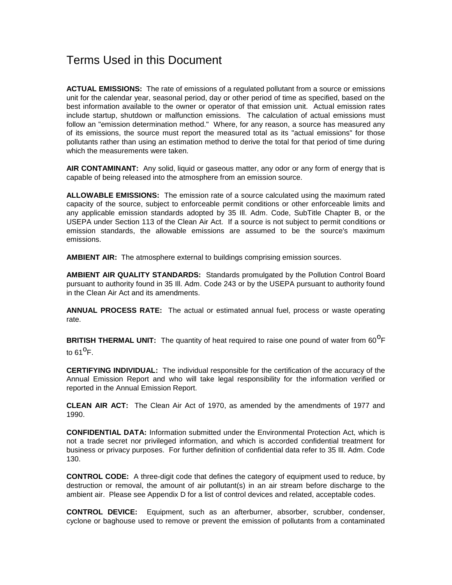### Terms Used in this Document

**ACTUAL EMISSIONS:** The rate of emissions of a regulated pollutant from a source or emissions unit for the calendar year, seasonal period, day or other period of time as specified, based on the best information available to the owner or operator of that emission unit. Actual emission rates include startup, shutdown or malfunction emissions. The calculation of actual emissions must follow an "emission determination method." Where, for any reason, a source has measured any of its emissions, the source must report the measured total as its "actual emissions" for those pollutants rather than using an estimation method to derive the total for that period of time during which the measurements were taken.

**AIR CONTAMINANT:** Any solid, liquid or gaseous matter, any odor or any form of energy that is capable of being released into the atmosphere from an emission source.

**ALLOWABLE EMISSIONS:** The emission rate of a source calculated using the maximum rated capacity of the source, subject to enforceable permit conditions or other enforceable limits and any applicable emission standards adopted by 35 Ill. Adm. Code, SubTitle Chapter B, or the USEPA under Section 113 of the Clean Air Act. If a source is not subject to permit conditions or emission standards, the allowable emissions are assumed to be the source's maximum emissions.

**AMBIENT AIR:** The atmosphere external to buildings comprising emission sources.

**AMBIENT AIR QUALITY STANDARDS:** Standards promulgated by the Pollution Control Board pursuant to authority found in 35 Ill. Adm. Code 243 or by the USEPA pursuant to authority found in the Clean Air Act and its amendments.

**ANNUAL PROCESS RATE:** The actual or estimated annual fuel, process or waste operating rate.

BRITISH THERMAL UNIT: The quantity of heat required to raise one pound of water from 60<sup>0</sup>F to 61 $^{\circ}$ F.

**CERTIFYING INDIVIDUAL:** The individual responsible for the certification of the accuracy of the Annual Emission Report and who will take legal responsibility for the information verified or reported in the Annual Emission Report.

**CLEAN AIR ACT:** The Clean Air Act of 1970, as amended by the amendments of 1977 and 1990.

**CONFIDENTIAL DATA:** Information submitted under the Environmental Protection Act, which is not a trade secret nor privileged information, and which is accorded confidential treatment for business or privacy purposes. For further definition of confidential data refer to 35 Ill. Adm. Code 130.

**CONTROL CODE:** A three-digit code that defines the category of equipment used to reduce, by destruction or removal, the amount of air pollutant(s) in an air stream before discharge to the ambient air. Please see Appendix D for a list of control devices and related, acceptable codes.

**CONTROL DEVICE:** Equipment, such as an afterburner, absorber, scrubber, condenser, cyclone or baghouse used to remove or prevent the emission of pollutants from a contaminated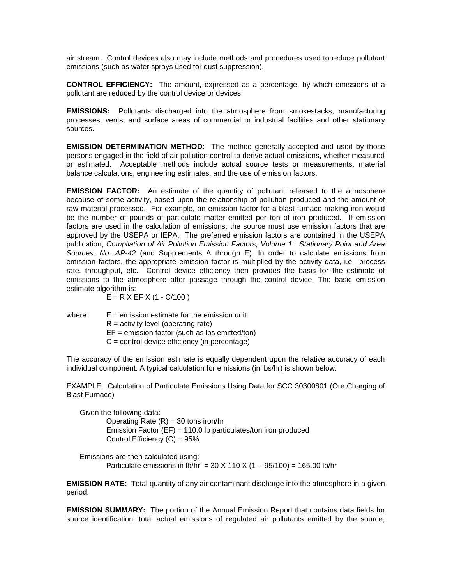air stream. Control devices also may include methods and procedures used to reduce pollutant emissions (such as water sprays used for dust suppression).

**CONTROL EFFICIENCY:** The amount, expressed as a percentage, by which emissions of a pollutant are reduced by the control device or devices.

**EMISSIONS:** Pollutants discharged into the atmosphere from smokestacks, manufacturing processes, vents, and surface areas of commercial or industrial facilities and other stationary sources.

**EMISSION DETERMINATION METHOD:** The method generally accepted and used by those persons engaged in the field of air pollution control to derive actual emissions, whether measured or estimated. Acceptable methods include actual source tests or measurements, material balance calculations, engineering estimates, and the use of emission factors.

**EMISSION FACTOR:** An estimate of the quantity of pollutant released to the atmosphere because of some activity, based upon the relationship of pollution produced and the amount of raw material processed. For example, an emission factor for a blast furnace making iron would be the number of pounds of particulate matter emitted per ton of iron produced. If emission factors are used in the calculation of emissions, the source must use emission factors that are approved by the USEPA or IEPA. The preferred emission factors are contained in the USEPA publication, *Compilation of Air Pollution Emission Factors, Volume 1: Stationary Point and Area Sources, No. AP-42* (and Supplements A through E). In order to calculate emissions from emission factors, the appropriate emission factor is multiplied by the activity data, i.e., process rate, throughput, etc. Control device efficiency then provides the basis for the estimate of emissions to the atmosphere after passage through the control device. The basic emission estimate algorithm is:

 $E = R X EF X (1 - C/100)$ 

where:  $E =$  emission estimate for the emission unit  $R =$  activity level (operating rate)  $EF =$  emission factor (such as lbs emitted/ton) C = control device efficiency (in percentage)

The accuracy of the emission estimate is equally dependent upon the relative accuracy of each individual component. A typical calculation for emissions (in lbs/hr) is shown below:

EXAMPLE: Calculation of Particulate Emissions Using Data for SCC 30300801 (Ore Charging of Blast Furnace)

Given the following data: Operating Rate  $(R) = 30$  tons iron/hr Emission Factor (EF) = 110.0 lb particulates/ton iron produced Control Efficiency (C) = 95%

Emissions are then calculated using: Particulate emissions in  $\frac{1}{2}$  b/hr = 30 X 110 X (1 - 95/100) = 165.00 lb/hr

**EMISSION RATE:** Total quantity of any air contaminant discharge into the atmosphere in a given period.

**EMISSION SUMMARY:** The portion of the Annual Emission Report that contains data fields for source identification, total actual emissions of regulated air pollutants emitted by the source,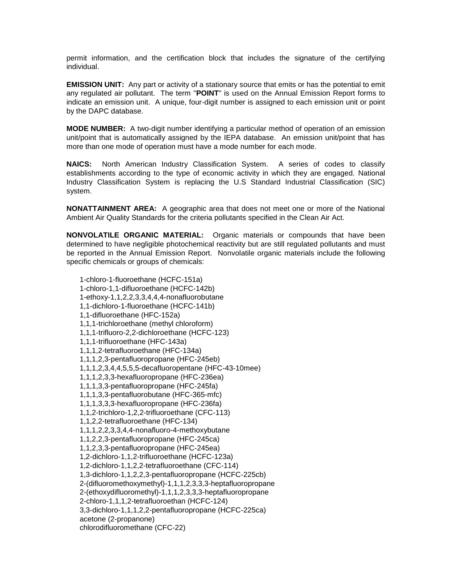permit information, and the certification block that includes the signature of the certifying individual.

**EMISSION UNIT:** Any part or activity of a stationary source that emits or has the potential to emit any regulated air pollutant. The term "**POINT**" is used on the Annual Emission Report forms to indicate an emission unit. A unique, four-digit number is assigned to each emission unit or point by the DAPC database.

**MODE NUMBER:** A two-digit number identifying a particular method of operation of an emission unit/point that is automatically assigned by the IEPA database. An emission unit/point that has more than one mode of operation must have a mode number for each mode.

**NAICS:** North American Industry Classification System. A series of codes to classify establishments according to the type of economic activity in which they are engaged. National Industry Classification System is replacing the U.S Standard Industrial Classification (SIC) system.

**NONATTAINMENT AREA:** A geographic area that does not meet one or more of the National Ambient Air Quality Standards for the criteria pollutants specified in the Clean Air Act.

**NONVOLATILE ORGANIC MATERIAL:** Organic materials or compounds that have been determined to have negligible photochemical reactivity but are still regulated pollutants and must be reported in the Annual Emission Report. Nonvolatile organic materials include the following specific chemicals or groups of chemicals:

1-chloro-1-fluoroethane (HCFC-151a) 1-chloro-1,1-difluoroethane (HCFC-142b) 1-ethoxy-1,1,2,2,3,3,4,4,4-nonafluorobutane 1,1-dichloro-1-fluoroethane (HCFC-141b) 1,1-difluoroethane (HFC-152a) 1,1,1-trichloroethane (methyl chloroform) 1,1,1-trifluoro-2,2-dichloroethane (HCFC-123) 1,1,1-trifluoroethane (HFC-143a) 1,1,1,2-tetrafluoroethane (HFC-134a) 1,1,1,2,3-pentafluoropropane (HFC-245eb) 1,1,1,2,3,4,4,5,5,5-decafluoropentane (HFC-43-10mee) 1,1,1,2,3,3-hexafluoropropane (HFC-236ea) 1,1,1,3,3-pentafluoropropane (HFC-245fa) 1,1,1,3,3-pentafluorobutane (HFC-365-mfc) 1,1,1,3,3,3-hexafluoropropane (HFC-236fa) 1,1,2-trichloro-1,2,2-trifluoroethane (CFC-113) 1,1,2,2-tetrafluoroethane (HFC-134) 1,1,1,2,2,3,3,4,4-nonafluoro-4-methoxybutane 1,1,2,2,3-pentafluoropropane (HFC-245ca) 1,1,2,3,3-pentafluoropropane (HFC-245ea) 1,2-dichloro-1,1,2-trifluoroethane (HCFC-123a) 1,2-dichloro-1,1,2,2-tetrafluoroethane (CFC-114) 1,3-dichloro-1,1,2,2,3-pentafluoropropane (HCFC-225cb) 2-(difluoromethoxymethyl)-1,1,1,2,3,3,3-heptafluoropropane 2-(ethoxydifluoromethyl)-1,1,1,2,3,3,3-heptafluoropropane 2-chloro-1,1,1,2-tetrafluoroethan (HCFC-124) 3,3-dichloro-1,1,1,2,2-pentafluoropropane (HCFC-225ca) acetone (2-propanone) chlorodifluoromethane (CFC-22)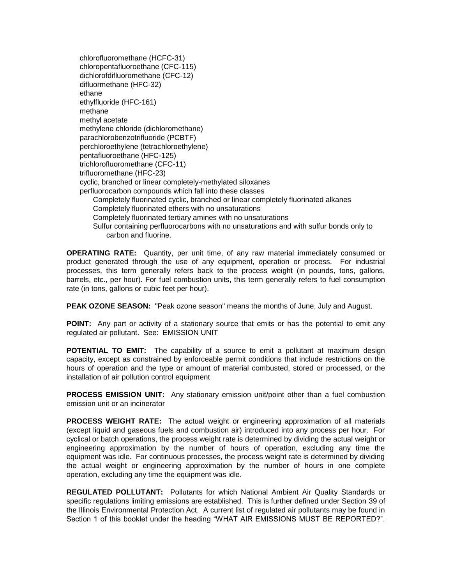chlorofluoromethane (HCFC-31) chloropentafluoroethane (CFC-115) dichlorofdifluoromethane (CFC-12) difluormethane (HFC-32) ethane ethylfluoride (HFC-161) methane methyl acetate methylene chloride (dichloromethane) parachlorobenzotrifluoride (PCBTF) perchloroethylene (tetrachloroethylene) pentafluoroethane (HFC-125) trichlorofluoromethane (CFC-11) trifluoromethane (HFC-23) cyclic, branched or linear completely-methylated siloxanes perfluorocarbon compounds which fall into these classes Completely fluorinated cyclic, branched or linear completely fluorinated alkanes Completely fluorinated ethers with no unsaturations Completely fluorinated tertiary amines with no unsaturations Sulfur containing perfluorocarbons with no unsaturations and with sulfur bonds only to carbon and fluorine.

**OPERATING RATE:** Quantity, per unit time, of any raw material immediately consumed or product generated through the use of any equipment, operation or process. For industrial processes, this term generally refers back to the process weight (in pounds, tons, gallons, barrels, etc., per hour). For fuel combustion units, this term generally refers to fuel consumption rate (in tons, gallons or cubic feet per hour).

**PEAK OZONE SEASON:** "Peak ozone season" means the months of June, July and August.

**POINT:** Any part or activity of a stationary source that emits or has the potential to emit any regulated air pollutant. See: EMISSION UNIT

**POTENTIAL TO EMIT:** The capability of a source to emit a pollutant at maximum design capacity, except as constrained by enforceable permit conditions that include restrictions on the hours of operation and the type or amount of material combusted, stored or processed, or the installation of air pollution control equipment

**PROCESS EMISSION UNIT:** Any stationary emission unit/point other than a fuel combustion emission unit or an incinerator

**PROCESS WEIGHT RATE:** The actual weight or engineering approximation of all materials (except liquid and gaseous fuels and combustion air) introduced into any process per hour. For cyclical or batch operations, the process weight rate is determined by dividing the actual weight or engineering approximation by the number of hours of operation, excluding any time the equipment was idle. For continuous processes, the process weight rate is determined by dividing the actual weight or engineering approximation by the number of hours in one complete operation, excluding any time the equipment was idle.

**REGULATED POLLUTANT:** Pollutants for which National Ambient Air Quality Standards or specific regulations limiting emissions are established. This is further defined under Section 39 of the Illinois Environmental Protection Act. A current list of regulated air pollutants may be found in Section 1 of this booklet under the heading "WHAT AIR EMISSIONS MUST BE REPORTED?".